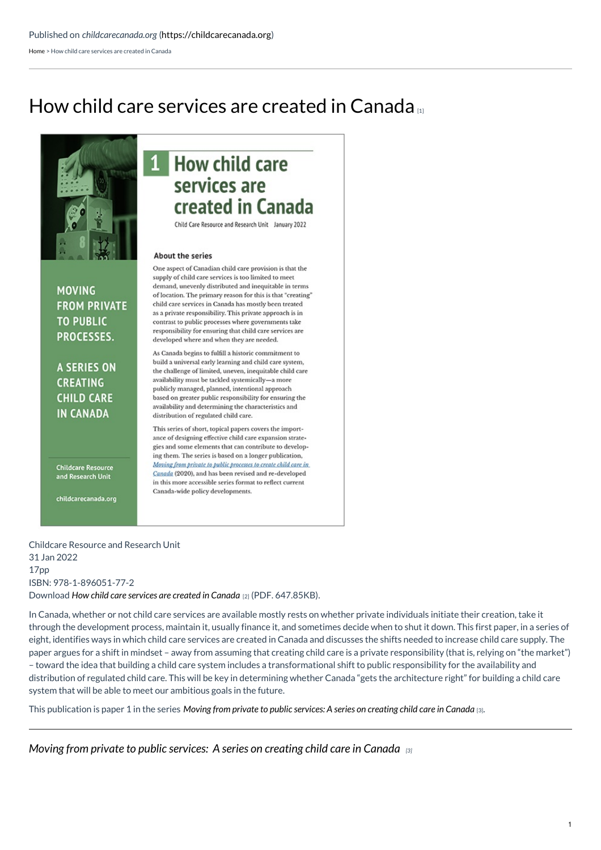$\mathbf{1}$ 

[Home](https://childcarecanada.org/) > How child care services are created in Canada

# How child care [services](https://childcarecanada.org/publications/other-publications/22/01/how-child-care-services-are-created-canada) are created in Canada [1]



## **How child care** services are created in Canada

Child Care Resource and Research Unit January 2022

### About the series

**MOVING FROM PRIVATE TO PUBLIC** PROCESSES.

**A SERIES ON CREATING CHILD CARE IN CANADA** 

**Childcare Resource** and Research Unit

childcarecanada.org

#### One aspect of Canadian child care provision is that the supply of child care services is too limited to meet demand, unevenly distributed and inequitable in terms of location. The primary reason for this is that "creating" child care services in Canada has mostly been treated as a private responsibility. This private approach is in contrast to public processes where governments take responsibility for ensuring that child care services are developed where and when they are needed.

As Canada begins to fulfill a historic commitment to build a universal early learning and child care system, the challenge of limited, uneven, inequitable child care availability must be tackled systemically-a more publicly managed, planned, intentional approach based on greater public responsibility for ensuring the availability and determining the characteristics and distribution of regulated child care.

This series of short, topical papers covers the importance of designing effective child care expansion strategies and some elements that can contribute to developing them. The series is based on a longer publication, Moving from private to public processes to create child care in Canada (2020), and has been revised and re-developed in this more accessible series format to reflect current Canada-wide policy developments.

Childcare Resource and Research Unit 31 Jan 2022 17pp ISBN: 978-1-896051-77-2

Download *How child care [services](https://childcarecanada.org/sites/default/files/How-child-care-services-created-in-Canada-series-paper-1.pdf) are created in Canada* [2] (PDF. 647.85KB).

In Canada, whether or not child care services are available mostly rests on whether private individuals initiate their creation, take it through the development process, maintain it, usually finance it, and sometimes decide when to shut it down. This first paper, in a series of eight, identifies ways in which child care services are created in Canada and discusses the shifts needed to increase child care supply. The paper argues for a shift in mindset – away from assuming that creating child care is a private responsibility (that is, relying on "the market") – toward the idea that building a child care system includes a transformational shift to public responsibility for the availability and distribution of regulated child care. This will be key in determining whether Canada "gets the architecture right" for building a child care system that will be able to meet our ambitious goals in the future.

This publication is paper 1 in the series Moving from private to public [services:](https://childcarecanada.org/publications/other-publications/22/01/moving-private-public-processes-series-creating-child-care) A series on creating child care in Canada [3].

*Moving from private to public [services:](https://childcarecanada.org/publications/other-publications/22/01/moving-private-public-processes-series-creating-child-care) A series on creating child care in Canada [3]*